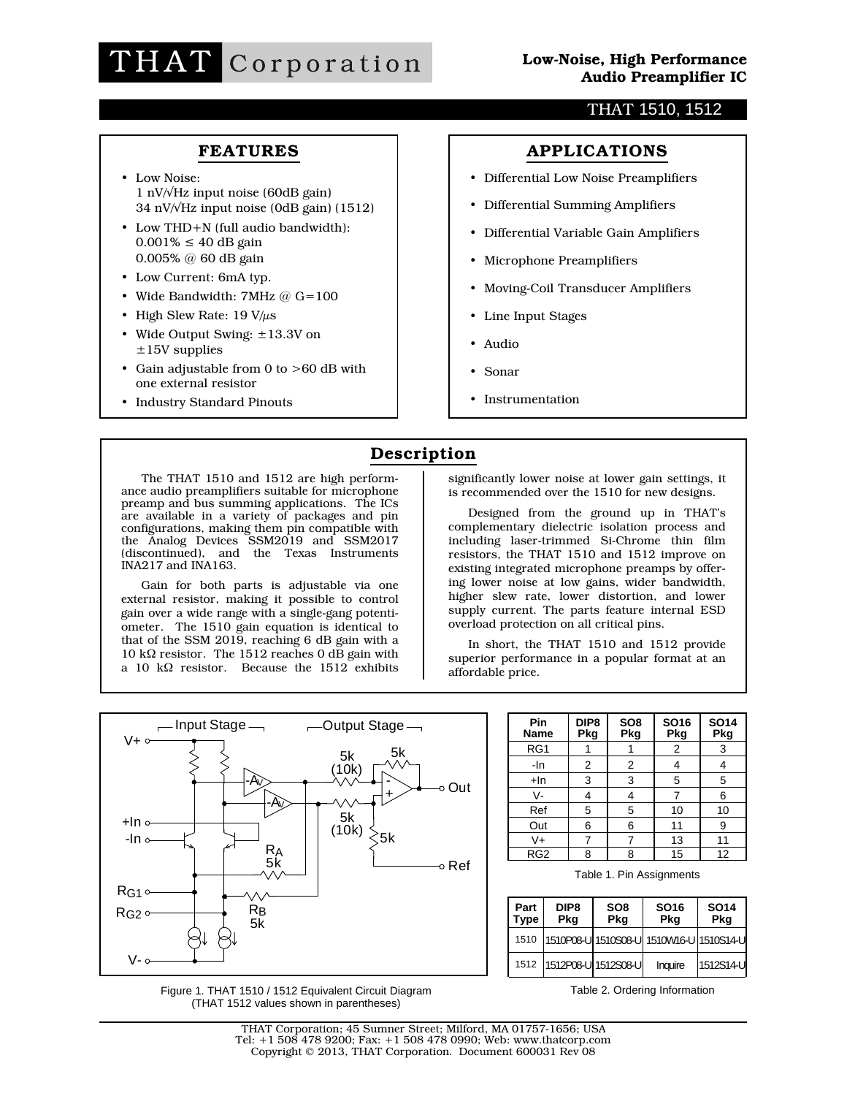### THAT 1510, 1512

## **FEATURES**

- Low Noise: 1 nV/√Hz input noise (60dB gain) 34 nV/√Hz input noise (0dB gain) (1512)
- Low THD+N (full audio bandwidth):  $0.001\% \le 40$  dB gain 0.005% @ 60 dB gain
- Low Current: 6mA typ.
- Wide Bandwidth: 7MHz @ G=100
- High Slew Rate:  $19 \text{ V}/\mu\text{s}$
- Wide Output Swing: ±13.3V on  $±15V$  supplies
- Gain adjustable from 0 to >60 dB with one external resistor
- Industry Standard Pinouts

## **APPLICATIONS**

- Differential Low Noise Preamplifiers
- Differential Summing Amplifiers
- Differential Variable Gain Amplifiers
- Microphone Preamplifiers
- Moving-Coil Transducer Amplifiers
- Line Input Stages
- Audio
- Sonar
- Instrumentation

## **Description**

The THAT 1510 and 1512 are high performance audio preamplifiers suitable for microphone preamp and bus summing applications. The ICs are available in a variety of packages and pin configurations, making them pin compatible with the Analog Devices SSM2019 and SSM2017 (discontinued), and the Texas Instruments INA217 and INA163.

Gain for both parts is adjustable via one external resistor, making it possible to control gain over a wide range with a single-gang potentiometer. The 1510 gain equation is identical to that of the SSM 2019, reaching 6 dB gain with a 10 kΩ resistor. The 1512 reaches 0 dB gain with a 10 kΩ resistor. Because the 1512 exhibits

significantly lower noise at lower gain settings, it is recommended over the 1510 for new designs.

Designed from the ground up in THAT's complementary dielectric isolation process and including laser-trimmed Si-Chrome thin film resistors, the THAT 1510 and 1512 improve on existing integrated microphone preamps by offering lower noise at low gains, wider bandwidth, higher slew rate, lower distortion, and lower supply current. The parts feature internal ESD overload protection on all critical pins.

In short, the THAT 1510 and 1512 provide superior performance in a popular format at an affordable price.



Figure 1. THAT 1510 / 1512 Equivalent Circuit Diagram (THAT 1512 values shown in parentheses)

| Pin<br>Name     | DIP <sub>8</sub><br>Pkg | SO <sub>8</sub><br>Pkg | <b>SO16</b><br>Pkg | <b>SO14</b><br>Pkg |
|-----------------|-------------------------|------------------------|--------------------|--------------------|
| RG1             |                         |                        | 2                  | 3                  |
| -In             | 2                       | 2                      |                    |                    |
| +In             | 3                       | 3                      | 5                  | 5                  |
| V-              | 4                       |                        |                    | 6                  |
| Ref             | 5                       | 5                      | 10                 | 10                 |
| Out             | 6                       | 6                      | 11                 | 9                  |
| V+              |                         |                        | 13                 | 11                 |
| RG <sub>2</sub> | 8                       | 8                      | 15                 | 12                 |

Table 1. Pin Assignments

| Part<br><b>Type</b> | DIP <sub>8</sub><br>Pkg | SO <sub>8</sub><br>Pkg | SO <sub>16</sub><br>Pkg                 | <b>SO14</b><br>Pkg |  |  |
|---------------------|-------------------------|------------------------|-----------------------------------------|--------------------|--|--|
| 1510                |                         |                        | 1510P08-U 1510S08-U 1510W16-U 1510S14-U |                    |  |  |
| 1512                |                         | 1512P08-U 1512S08-U    | Inquire                                 | 1512S14-U          |  |  |

Table 2. Ordering Information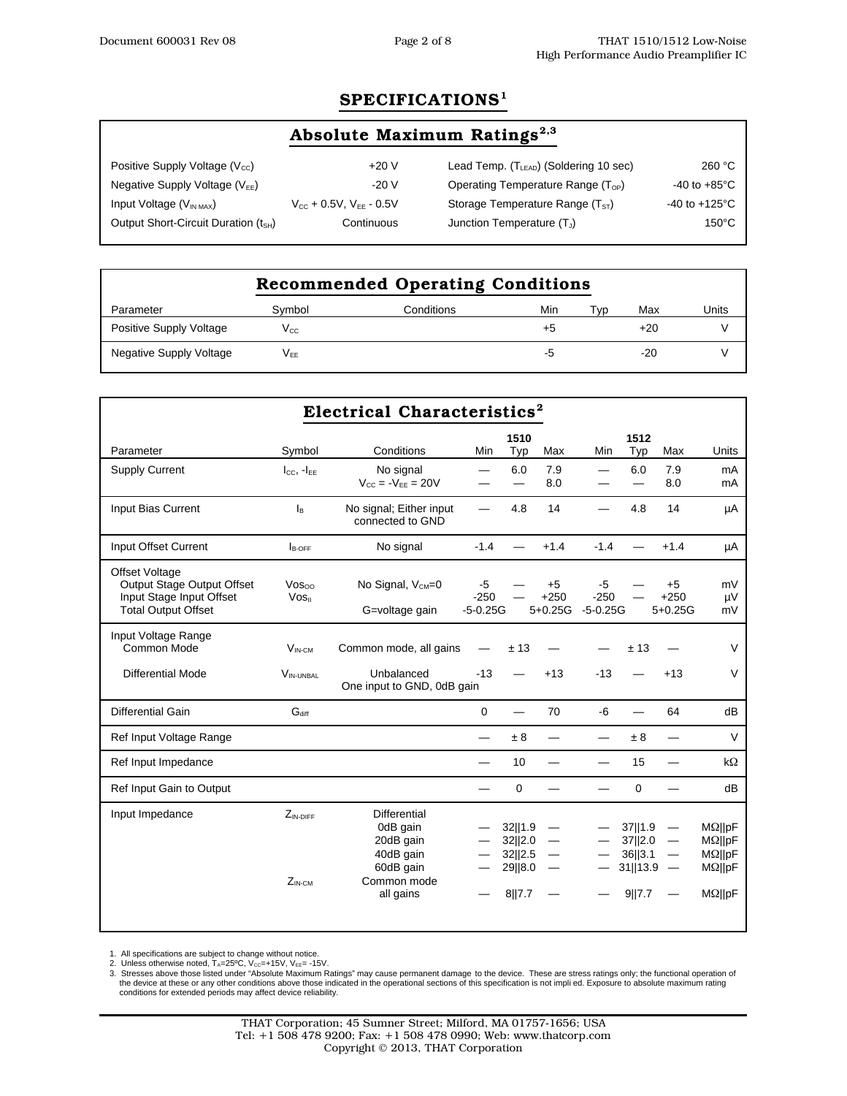## **SPECIFICATIONS1**

# Absolute Maximum Ratings<sup>2,3</sup>

| Positive Supply Voltage $(V_{\text{cc}})$        | $+20V$                           | Lead Temp. (T <sub>LEAD</sub> ) (Soldering 10 sec) | 260 °C                    |
|--------------------------------------------------|----------------------------------|----------------------------------------------------|---------------------------|
| Negative Supply Voltage ( $V_{EE}$ )             | $-20V$                           | Operating Temperature Range $(T_{OP})$             | $-40$ to $+85^{\circ}$ C  |
| Input Voltage $(V_{INMAX})$                      | $V_{CC}$ + 0.5V, $V_{EF}$ - 0.5V | Storage Temperature Range $(TST)$                  | $-40$ to $+125^{\circ}$ C |
| Output Short-Circuit Duration (t <sub>SH</sub> ) | Continuous                       | Junction Temperature $(T_1)$                       | $150^{\circ}$ C           |
|                                                  |                                  |                                                    |                           |

| <b>Recommended Operating Conditions</b> |                 |            |     |     |       |       |  |  |  |
|-----------------------------------------|-----------------|------------|-----|-----|-------|-------|--|--|--|
| Parameter                               | Symbol          | Conditions | Min | Typ | Max   | Units |  |  |  |
| Positive Supply Voltage                 | Vcc             |            | +5  |     | +20   |       |  |  |  |
| Negative Supply Voltage                 | V <sub>FF</sub> |            | -5  |     | $-20$ |       |  |  |  |

| Electrical Characteristics <sup>2</sup>                                                                       |                                         |                                                                                                    |                              |                                                    |                             |                              |                                                     |                                                                                  |                                                                                        |
|---------------------------------------------------------------------------------------------------------------|-----------------------------------------|----------------------------------------------------------------------------------------------------|------------------------------|----------------------------------------------------|-----------------------------|------------------------------|-----------------------------------------------------|----------------------------------------------------------------------------------|----------------------------------------------------------------------------------------|
| Parameter                                                                                                     | Symbol                                  | Conditions                                                                                         | Min                          | 1510<br>Typ                                        | Max                         | Min                          | 1512<br>Typ                                         | Max                                                                              | Units                                                                                  |
| <b>Supply Current</b>                                                                                         | $I_{CC}$ , $-I_{EE}$                    | No signal<br>$V_{CC} = -V_{FF} = 20V$                                                              | —                            | 6.0<br>—                                           | 7.9<br>8.0                  |                              | 6.0<br>—                                            | 7.9<br>8.0                                                                       | mA<br>mA                                                                               |
| Input Bias Current                                                                                            | l <sub>B</sub>                          | No signal; Either input<br>connected to GND                                                        | $\overline{\phantom{0}}$     | 4.8                                                | 14                          |                              | 4.8                                                 | 14                                                                               | μA                                                                                     |
| Input Offset Current                                                                                          | $I_{\text{B-OFF}}$                      | No signal                                                                                          | $-1.4$                       |                                                    | $+1.4$                      | $-1.4$                       |                                                     | $+1.4$                                                                           | μA                                                                                     |
| <b>Offset Voltage</b><br>Output Stage Output Offset<br>Input Stage Input Offset<br><b>Total Output Offset</b> | $V$ OS $\infty$<br>$V$ OS <sub>II</sub> | No Signal, $V_{CM}=0$<br>G=voltage gain                                                            | -5<br>$-250$<br>$-5 - 0.25G$ |                                                    | $+5$<br>$+250$<br>$5+0.25G$ | -5<br>$-250$<br>$-5 - 0.25G$ |                                                     | $+5$<br>$+250$<br>$5+0.25G$                                                      | mV<br>μV<br>mV                                                                         |
| Input Voltage Range<br>Common Mode                                                                            | $V_{IN-CM}$                             | Common mode, all gains                                                                             |                              | ±13                                                |                             |                              | ±13                                                 |                                                                                  | $\vee$                                                                                 |
| <b>Differential Mode</b>                                                                                      | $V_{\text{IN-UNBAL}}$                   | Unbalanced<br>One input to GND, 0dB gain                                                           | $-13$                        |                                                    | $+13$                       | $-13$                        |                                                     | $+13$                                                                            | V                                                                                      |
| Differential Gain                                                                                             | $G_{diff}$                              |                                                                                                    | $\Omega$                     |                                                    | 70                          | $-6$                         |                                                     | 64                                                                               | dB                                                                                     |
| Ref Input Voltage Range                                                                                       |                                         |                                                                                                    |                              | ±8                                                 |                             |                              | ± 8                                                 |                                                                                  | V                                                                                      |
| Ref Input Impedance                                                                                           |                                         |                                                                                                    | —                            | 10                                                 |                             |                              | 15                                                  |                                                                                  | $k\Omega$                                                                              |
| Ref Input Gain to Output                                                                                      |                                         |                                                                                                    | $\overline{\phantom{0}}$     | $\Omega$                                           |                             |                              | $\Omega$                                            |                                                                                  | dB                                                                                     |
| Input Impedance                                                                                               | $Z_{IN-DIFF}$<br>$Z_{IN:CM}$            | <b>Differential</b><br>0dB gain<br>20dB gain<br>40dB gain<br>60dB gain<br>Common mode<br>all gains |                              | 32  1.9<br>32  2.0<br>32  2.5<br>29  8.0<br>8  7.7 | $\overline{\phantom{m}}$    |                              | 37  1.9<br>37  2.0<br>36  3.1<br>31  13.9<br>9  7.7 | $\overline{\phantom{m}}$<br>$\overline{\phantom{m}}$<br>$\overline{\phantom{m}}$ | $M\Omega$   pF<br>$M\Omega$   pF<br>$M\Omega$   pF<br>$M\Omega$   pF<br>$M\Omega$   pF |

1. All specifications are subject to change without notice.<br>2. Unless otherwise noted, T<sub>A</sub>=25°C, V<sub>cc</sub>=+15V, V<sub>EE</sub>= -15V.<br>3. Stresses above those listed under "Absolute Maximum Ratings" may cause permanent damage to the d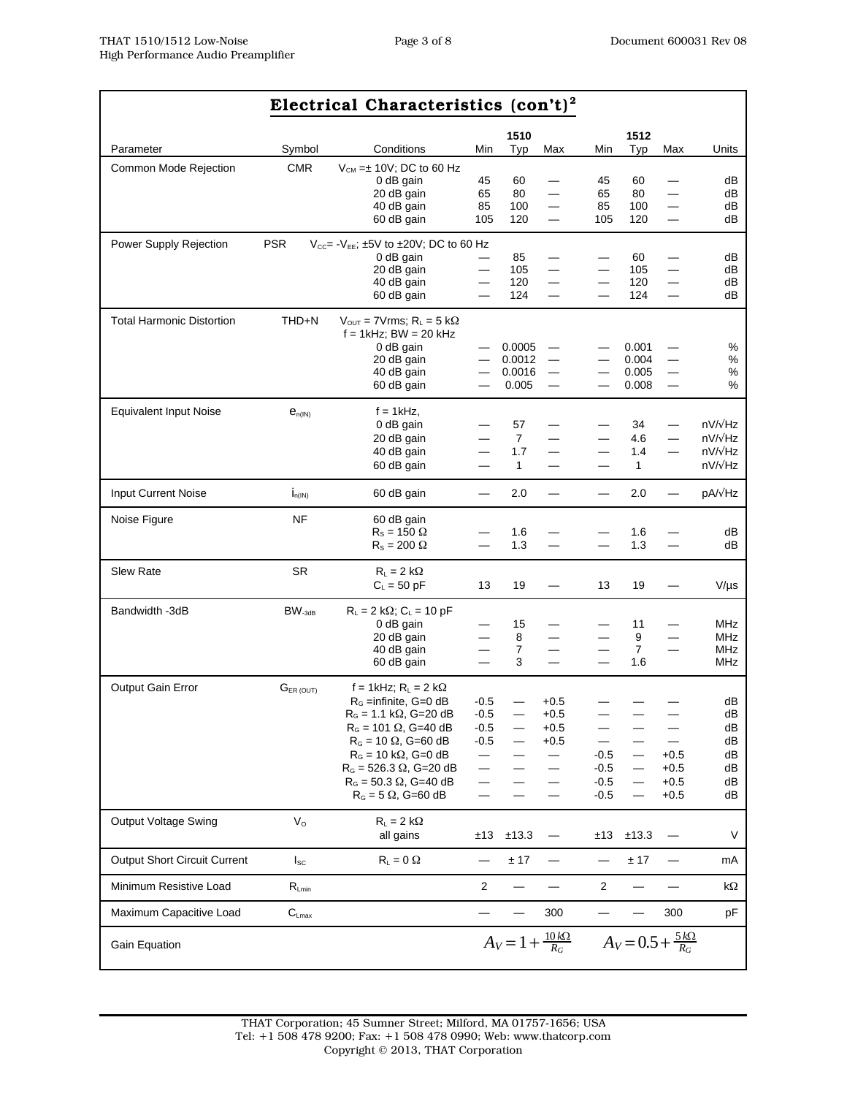| Electrical Characteristics $(\text{con't})^2$ |                         |                                                                                         |                                                      |                        |                                                      |                                                      |                                     |                                                      |                          |
|-----------------------------------------------|-------------------------|-----------------------------------------------------------------------------------------|------------------------------------------------------|------------------------|------------------------------------------------------|------------------------------------------------------|-------------------------------------|------------------------------------------------------|--------------------------|
|                                               |                         |                                                                                         |                                                      | 1510                   |                                                      |                                                      | 1512                                |                                                      |                          |
| Parameter                                     | Symbol                  | Conditions                                                                              | Min                                                  | Typ                    | Max                                                  | Min                                                  | Typ                                 | Max                                                  | Units                    |
| Common Mode Rejection                         | <b>CMR</b>              | $V_{CM} = \pm 10V$ ; DC to 60 Hz<br>0 dB gain<br>20 dB gain<br>40 dB gain<br>60 dB gain | 45<br>65<br>85<br>105                                | 60<br>80<br>100<br>120 | —<br>$\overline{\phantom{0}}$                        | 45<br>65<br>85<br>105                                | 60<br>80<br>100<br>120              | $\sim$<br>$\overline{\phantom{0}}$                   | dВ<br>dB<br>dB<br>dB     |
| Power Supply Rejection                        | <b>PSR</b>              | $V_{CC}$ = $-V_{EE}$ ; ±5V to ±20V; DC to 60 Hz                                         |                                                      |                        |                                                      |                                                      |                                     |                                                      |                          |
|                                               |                         | 0 dB gain<br>20 dB gain                                                                 |                                                      | 85<br>105              | $\overline{\phantom{0}}$                             |                                                      | 60<br>105                           | $\equiv$                                             | dВ<br>dВ                 |
|                                               |                         | 40 dB gain<br>60 dB gain                                                                | $\overline{\phantom{0}}$                             | 120<br>124             | $\overline{\phantom{0}}$<br>$\overline{\phantom{0}}$ | $\overline{\phantom{0}}$<br>$\overline{\phantom{0}}$ | 120<br>124                          | $\overline{\phantom{0}}$<br>$\overline{\phantom{0}}$ | dB<br>dB                 |
| <b>Total Harmonic Distortion</b>              | THD+N                   | $V_{\text{OUT}} = 7V$ rms; $R_L = 5 k\Omega$<br>$f = 1$ kHz; BW = 20 kHz<br>0 dB gain   |                                                      | 0.0005                 | $\overbrace{\phantom{123221111}}$                    |                                                      | 0.001                               |                                                      | $\%$                     |
|                                               |                         | 20 dB gain                                                                              |                                                      | 0.0012                 |                                                      |                                                      | 0.004                               |                                                      | %                        |
|                                               |                         | 40 dB gain<br>60 dB gain                                                                | $\overline{\phantom{0}}$                             | 0.0016<br>0.005        |                                                      |                                                      | 0.005<br>0.008                      | $\overline{\phantom{0}}$                             | $\%$<br>%                |
| <b>Equivalent Input Noise</b>                 | $e_{n(N)}$              | $f = 1kHz$ ,                                                                            |                                                      |                        |                                                      |                                                      |                                     |                                                      |                          |
|                                               |                         | 0 dB gain                                                                               |                                                      | 57                     | $\overline{\phantom{a}}$                             | $\overline{\phantom{0}}$                             | 34                                  | $\overline{\phantom{0}}$                             | nV/vHz                   |
|                                               |                         | 20 dB gain<br>40 dB gain                                                                |                                                      | $\overline{7}$<br>1.7  | $\overline{\phantom{0}}$                             |                                                      | 4.6<br>1.4                          | $\equiv$<br>$\overline{\phantom{0}}$                 | $nV/\sqrt{Hz}$<br>nV/vHz |
|                                               |                         | 60 dB gain                                                                              | —                                                    | $\mathbf{1}$           | $\overline{\phantom{0}}$                             | $\overline{\phantom{0}}$                             | 1                                   |                                                      | nV/vHz                   |
| <b>Input Current Noise</b>                    | $I_{n(1N)}$             | 60 dB gain                                                                              | $\overline{\phantom{0}}$                             | 2.0                    |                                                      |                                                      | 2.0                                 | $\qquad \qquad$                                      | pA/vHz                   |
| Noise Figure                                  | <b>NF</b>               | 60 dB gain                                                                              |                                                      |                        |                                                      |                                                      |                                     |                                                      |                          |
|                                               |                         | $R_s = 150 \Omega$<br>$R_s = 200 \Omega$                                                |                                                      | 1.6<br>1.3             |                                                      |                                                      | 1.6<br>1.3                          |                                                      | dB<br>dB                 |
|                                               |                         |                                                                                         |                                                      |                        |                                                      |                                                      |                                     |                                                      |                          |
| <b>Slew Rate</b>                              | <b>SR</b>               | $R_L = 2 k\Omega$<br>$C_L = 50$ pF                                                      | 13                                                   | 19                     |                                                      | 13                                                   | 19                                  |                                                      | $V/\mu s$                |
| Bandwidth -3dB                                | BW <sub>-3dB</sub>      | $R_L = 2 k\Omega$ ; $C_L = 10 pF$                                                       |                                                      |                        |                                                      |                                                      |                                     |                                                      |                          |
|                                               |                         | 0 dB gain<br>20 dB gain                                                                 |                                                      | 15<br>8                |                                                      |                                                      | 11<br>9                             |                                                      | MHz<br><b>MHz</b>        |
|                                               |                         | 40 dB gain                                                                              |                                                      | $\overline{7}$         | $\qquad \qquad$                                      | $\equiv$                                             | $\overline{7}$                      | $\equiv$                                             | MHz                      |
|                                               |                         | 60 dB gain                                                                              | $\overline{\phantom{0}}$                             | 3                      | $\overline{\phantom{0}}$                             | $\overline{\phantom{0}}$                             | 1.6                                 |                                                      | MHz                      |
| Output Gain Error                             | $G_{ER (OUT)}$          | f = 1kHz; $R_L$ = 2 k $\Omega$<br>$RG$ =infinite, G=0 dB                                | $-0.5$                                               |                        | $+0.5$                                               |                                                      |                                     |                                                      | dB                       |
|                                               |                         | $R_G = 1.1 k\Omega$ , G=20 dB                                                           | $-0.5$                                               |                        | $+0.5$                                               |                                                      |                                     |                                                      | dB                       |
|                                               |                         | $R_G = 101 \Omega$ , G=40 dB                                                            | $-0.5$                                               |                        | $+0.5$                                               |                                                      |                                     |                                                      | dB                       |
|                                               |                         | $RG = 10 \Omega$ , G=60 dB                                                              | $-0.5$                                               |                        | $+0.5$                                               |                                                      |                                     |                                                      | dB                       |
|                                               |                         | $RG$ = 10 k $\Omega$ , G=0 dB<br>$R_G = 526.3 \Omega$ , G=20 dB                         | $\overline{\phantom{0}}$<br>$\overline{\phantom{0}}$ |                        |                                                      | $-0.5$<br>$-0.5$                                     |                                     | $+0.5$<br>$+0.5$                                     | dB<br>dΒ                 |
|                                               |                         | $R_G = 50.3 \Omega$ , G=40 dB                                                           |                                                      |                        |                                                      | $-0.5$                                               |                                     | $+0.5$                                               | dB                       |
|                                               |                         | $RG = 5 \Omega$ , G=60 dB                                                               |                                                      |                        |                                                      | $-0.5$                                               |                                     | $+0.5$                                               | dΒ                       |
| Output Voltage Swing                          | $\mathsf{V}_\mathsf{O}$ | $R_L = 2 k\Omega$<br>all gains                                                          | ±13                                                  | ±13.3                  |                                                      | ±13                                                  | ±13.3                               |                                                      | V                        |
| <b>Output Short Circuit Current</b>           | $I_{SC}$                | $R_L = 0$ $\Omega$                                                                      |                                                      | $\pm$ 17               |                                                      |                                                      | ± 17                                |                                                      | mA                       |
| Minimum Resistive Load                        | $R_{Lmin}$              |                                                                                         | $\overline{2}$                                       |                        |                                                      | $\boldsymbol{2}$                                     |                                     |                                                      | kΩ                       |
| Maximum Capacitive Load                       | $C_{Lmax}$              |                                                                                         |                                                      |                        | 300                                                  |                                                      |                                     | 300                                                  | рF                       |
| Gain Equation                                 |                         |                                                                                         |                                                      | $A_V = 1 +$            | $\frac{10 k\Omega}{R_G}$                             |                                                      | $A_V = 0.5 + \frac{5 k\Omega}{R_G}$ |                                                      |                          |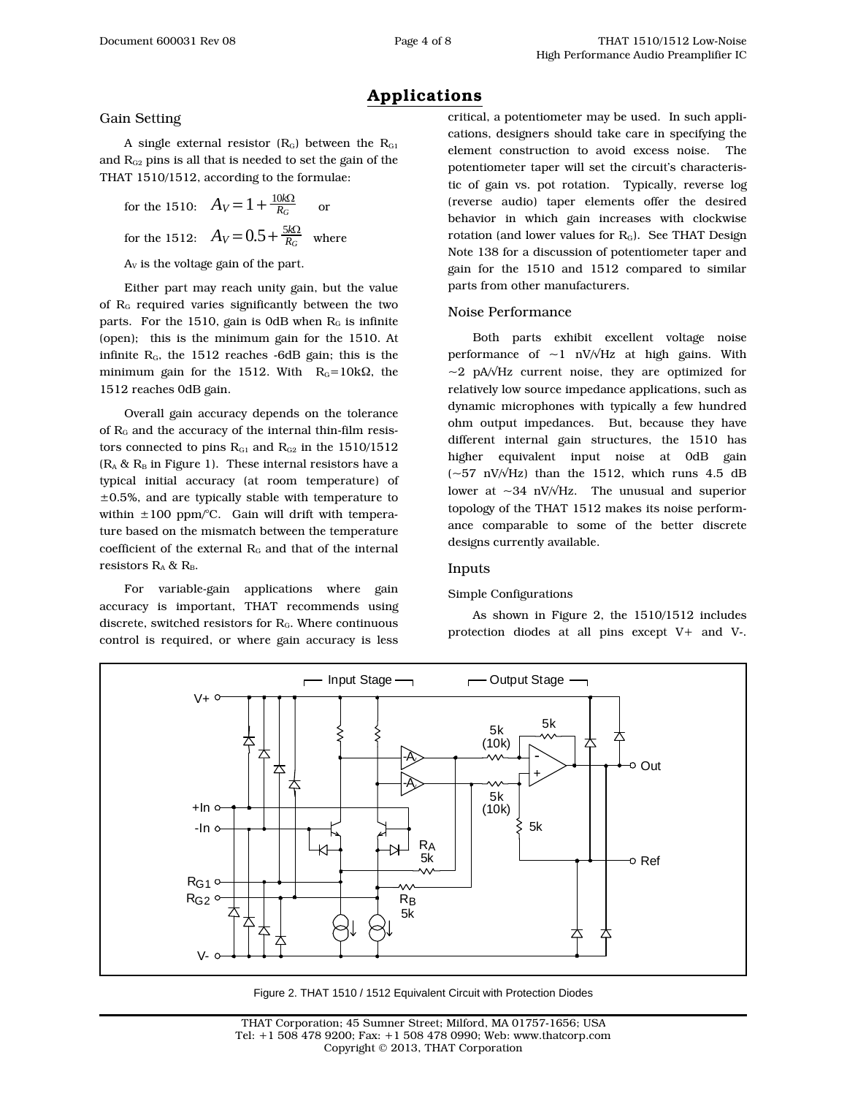## **Applications**

#### Gain Setting

A single external resistor  $(R_G)$  between the  $R_{G1}$ and  $R_{G2}$  pins is all that is needed to set the gain of the THAT 1510/1512, according to the formulae:

for the 1510:  $A_V = 1 + \frac{10k\Omega}{R_G}$  or for the 1512:  $A_V = 0.5 + \frac{5k\Omega}{R_G}$  where

 $A_V$  is the voltage gain of the part.

Either part may reach unity gain, but the value of  $R<sub>G</sub>$  required varies significantly between the two parts. For the 1510, gain is 0dB when  $R<sub>G</sub>$  is infinite (open); this is the minimum gain for the 1510. At infinite  $R_G$ , the 1512 reaches -6dB gain; this is the minimum gain for the 1512. With  $R_G=10k\Omega$ , the 1512 reaches 0dB gain.

Overall gain accuracy depends on the tolerance of  $R<sub>G</sub>$  and the accuracy of the internal thin-film resistors connected to pins  $R_{G1}$  and  $R_{G2}$  in the 1510/1512  $(R_A & R_B$  in Figure 1). These internal resistors have a typical initial accuracy (at room temperature) of  $\pm 0.5$ %, and are typically stable with temperature to within  $\pm 100$  ppm/°C. Gain will drift with temperature based on the mismatch between the temperature coefficient of the external  $R_G$  and that of the internal resistors  $R_A$  &  $R_B$ .

For variable-gain applications where gain accuracy is important, THAT recommends using discrete, switched resistors for  $R<sub>G</sub>$ . Where continuous control is required, or where gain accuracy is less

critical, a potentiometer may be used. In such applications, designers should take care in specifying the element construction to avoid excess noise. The potentiometer taper will set the circuit's characteristic of gain vs. pot rotation. Typically, reverse log (reverse audio) taper elements offer the desired behavior in which gain increases with clockwise rotation (and lower values for  $R_G$ ). See THAT Design Note 138 for a discussion of potentiometer taper and gain for the 1510 and 1512 compared to similar parts from other manufacturers.

#### Noise Performance

Both parts exhibit excellent voltage noise performance of  $\sim$ 1 nV/ $\sqrt{Hz}$  at high gains. With ~2 pA/√Hz current noise, they are optimized for relatively low source impedance applications, such as dynamic microphones with typically a few hundred ohm output impedances. But, because they have different internal gain structures, the 1510 has higher equivalent input noise at 0dB gain  $(-57 \text{ nV/VHz})$  than the 1512, which runs 4.5 dB lower at  $\sim$ 34 nV/ $\sqrt{Hz}$ . The unusual and superior topology of the THAT 1512 makes its noise performance comparable to some of the better discrete designs currently available.

#### Inputs

#### Simple Configurations

As shown in Figure 2, the 1510/1512 includes protection diodes at all pins except V+ and V-.



Figure 2. THAT 1510 / 1512 Equivalent Circuit with Protection Diodes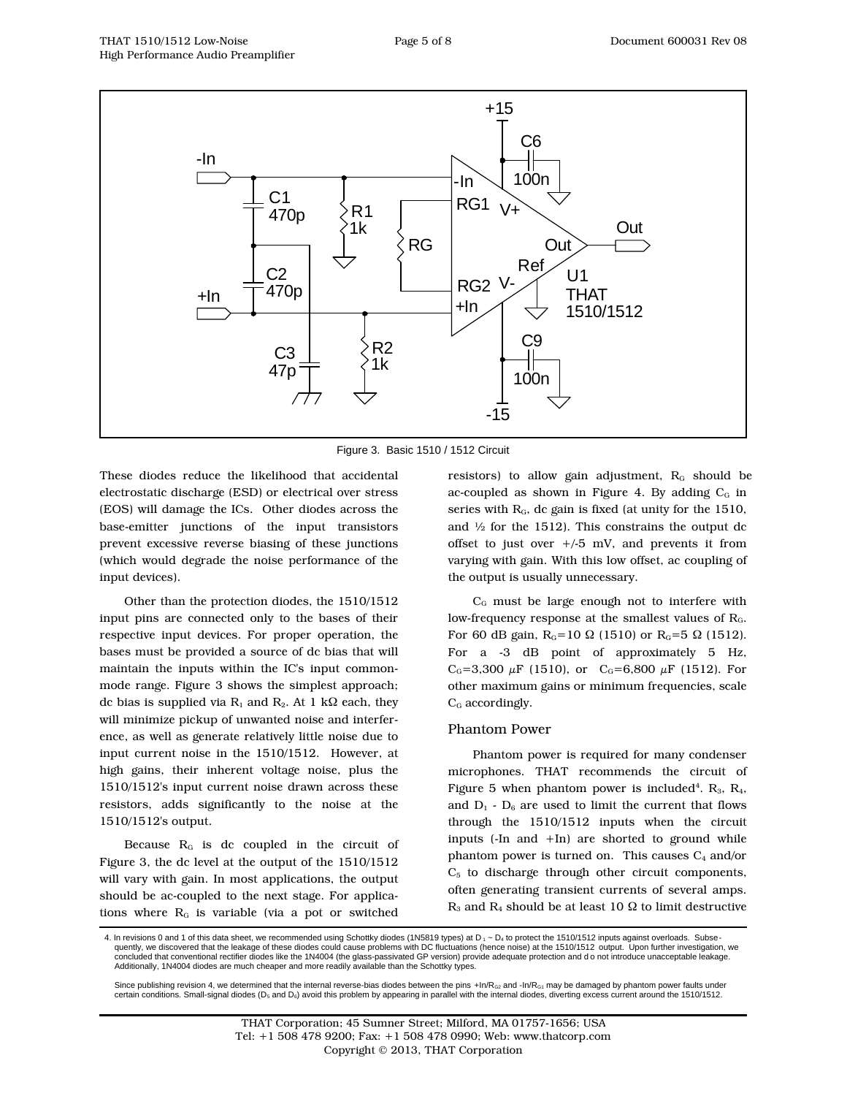

Figure 3. Basic 1510 / 1512 Circuit

These diodes reduce the likelihood that accidental electrostatic discharge (ESD) or electrical over stress (EOS) will damage the ICs. Other diodes across the base-emitter junctions of the input transistors prevent excessive reverse biasing of these junctions (which would degrade the noise performance of the input devices).

Other than the protection diodes, the 1510/1512 input pins are connected only to the bases of their respective input devices. For proper operation, the bases must be provided a source of dc bias that will maintain the inputs within the IC's input commonmode range. Figure 3 shows the simplest approach; dc bias is supplied via  $R_1$  and  $R_2$ . At 1 k $\Omega$  each, they will minimize pickup of unwanted noise and interference, as well as generate relatively little noise due to input current noise in the 1510/1512. However, at high gains, their inherent voltage noise, plus the 1510/1512's input current noise drawn across these resistors, adds significantly to the noise at the 1510/1512's output.

Because RG is dc coupled in the circuit of Figure 3, the dc level at the output of the 1510/1512 will vary with gain. In most applications, the output should be ac-coupled to the next stage. For applications where  $R<sub>G</sub>$  is variable (via a pot or switched

resistors) to allow gain adjustment,  $R<sub>G</sub>$  should be ac-coupled as shown in Figure 4. By adding  $C_G$  in series with  $R<sub>G</sub>$ , dc gain is fixed (at unity for the 1510, and  $\frac{1}{2}$  for the 1512). This constrains the output dc offset to just over  $+/5$  mV, and prevents it from varying with gain. With this low offset, ac coupling of the output is usually unnecessary.

CG must be large enough not to interfere with low-frequency response at the smallest values of RG. For 60 dB gain,  $R_G$ =10 Ω (1510) or  $R_G$ =5 Ω (1512). For a -3 dB point of approximately 5 Hz,  $C_G$ =3,300  $\mu$ F (1510), or  $C_G$ =6,800  $\mu$ F (1512). For other maximum gains or minimum frequencies, scale C<sub>G</sub> accordingly.

#### Phantom Power

Phantom power is required for many condenser microphones. THAT recommends the circuit of Figure 5 when phantom power is included<sup>4</sup>. R<sub>3</sub>, R<sub>4</sub>, and  $D_1$  -  $D_6$  are used to limit the current that flows through the 1510/1512 inputs when the circuit inputs (-In and +In) are shorted to ground while phantom power is turned on. This causes  $C_4$  and/or  $C<sub>5</sub>$  to discharge through other circuit components, often generating transient currents of several amps. R<sub>3</sub> and R<sub>4</sub> should be at least 10  $\Omega$  to limit destructive

4. In revisions 0 and 1 of this data sheet, we recommended using Schottky diodes (1N5819 types) at D<sub>1</sub> ~ D<sub>4</sub> to protect the 1510/1512 inputs against overloads. Subsequently, we discovered that the leakage of these diodes could cause problems with DC fluctuations (hence noise) at the 1510/1512 output. Upon further investigation, we concluded that conventional rectifier diodes like the 1N4004 (the glass-passivated GP version) provide adequate protection and d o not introduce unacceptable leakage. Additionally, 1N4004 diodes are much cheaper and more readily available than the Schottky types.

Since publishing revision 4, we determined that the internal reverse-bias diodes between the pins  $+n/R_{G2}$  and  $-n/R_{G1}$  may be damaged by phantom power faults under certain conditions. Small-signal diodes (D<sub>5</sub> and D<sub>6</sub>) avoid this problem by appearing in parallel with the internal diodes, diverting excess current around the 1510/1512.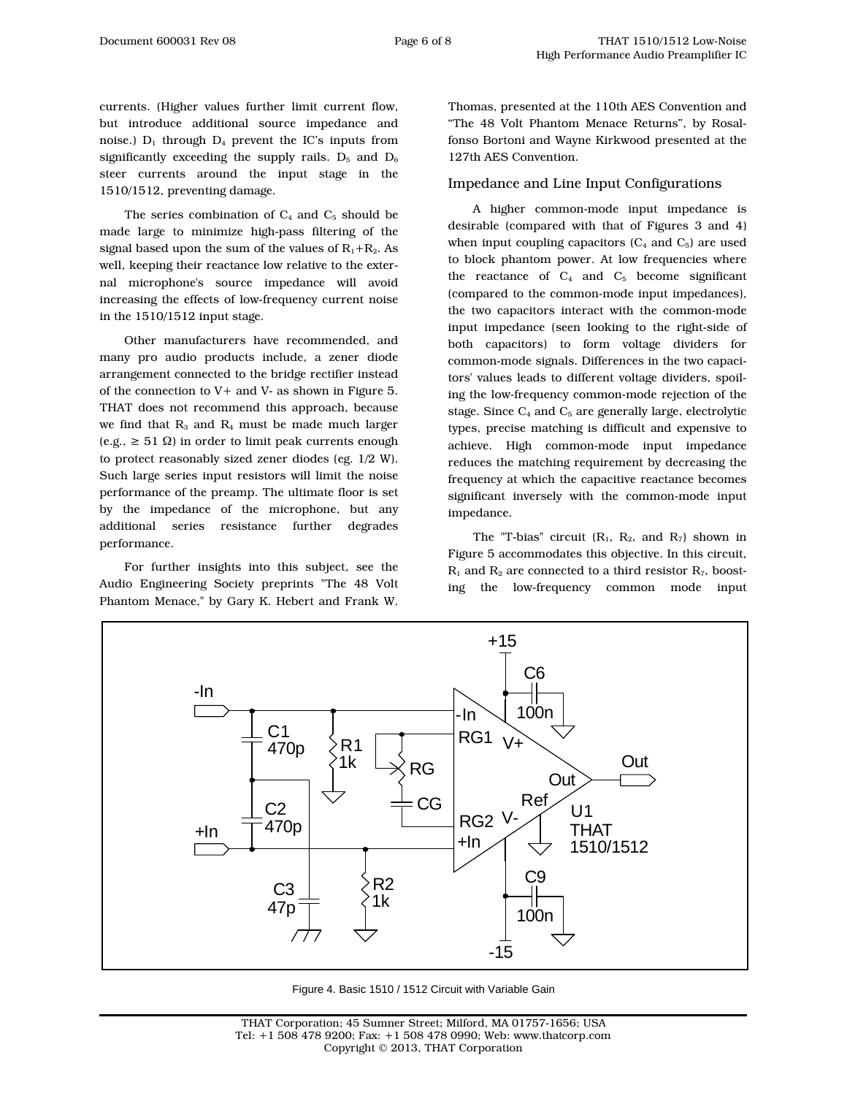currents. (Higher values further limit current flow, but introduce additional source impedance and noise.)  $D_1$  through  $D_4$  prevent the IC's inputs from significantly exceeding the supply rails.  $D_5$  and  $D_6$ steer currents around the input stage in the 1510/1512, preventing damage.

The series combination of  $C_4$  and  $C_5$  should be made large to minimize high-pass filtering of the signal based upon the sum of the values of  $R_1+R_2$ . As well, keeping their reactance low relative to the external microphone's source impedance will avoid increasing the effects of low-frequency current noise in the 1510/1512 input stage.

Other manufacturers have recommended, and many pro audio products include, a zener diode arrangement connected to the bridge rectifier instead of the connection to V+ and V- as shown in Figure 5. THAT does not recommend this approach, because we find that  $R_3$  and  $R_4$  must be made much larger  $(e.g., \geq 51 \Omega)$  in order to limit peak currents enough to protect reasonably sized zener diodes (eg. 1/2 W). Such large series input resistors will limit the noise performance of the preamp. The ultimate floor is set by the impedance of the microphone, but any additional series resistance further degrades performance.

For further insights into this subject, see the Audio Engineering Society preprints "The 48 Volt Phantom Menace," by Gary K. Hebert and Frank W.

> $C<sub>1</sub>$ 470p

 $C<sub>2</sub>$ 470p

-In

+In

Thomas, presented at the 110th AES Convention and "The 48 Volt Phantom Menace Returns", by Rosalfonso Bortoni and Wayne Kirkwood presented at the 127th AES Convention.

#### Impedance and Line Input Configurations

A higher common-mode input impedance is desirable (compared with that of Figures 3 and 4) when input coupling capacitors  $(C_4$  and  $C_5$ ) are used to block phantom power. At low frequencies where the reactance of  $C_4$  and  $C_5$  become significant (compared to the common-mode input impedances), the two capacitors interact with the common-mode input impedance (seen looking to the right-side of both capacitors) to form voltage dividers for common-mode signals. Differences in the two capacitors' values leads to different voltage dividers, spoiling the low-frequency common-mode rejection of the stage. Since C<sub>4</sub> and C<sub>5</sub> are generally large, electrolytic types, precise matching is difficult and expensive to achieve. High common-mode input impedance reduces the matching requirement by decreasing the frequency at which the capacitive reactance becomes significant inversely with the common-mode input impedance.

The "T-bias" circuit  $(R_1, R_2,$  and  $R_7$ ) shown in Figure 5 accommodates this objective. In this circuit,  $R_1$  and  $R_2$  are connected to a third resistor  $R_7$ , boosting the low-frequency common mode input

Out

 $U<sub>1</sub>$ THAT 1510/1512

Out



RG

R1 1k

CG

+In

RG2 V-

-In

RG1

 $+15$ 

 $V_{+}$ 

C6

100n

Ref

Figure 4. Basic 1510 / 1512 Circuit with Variable Gain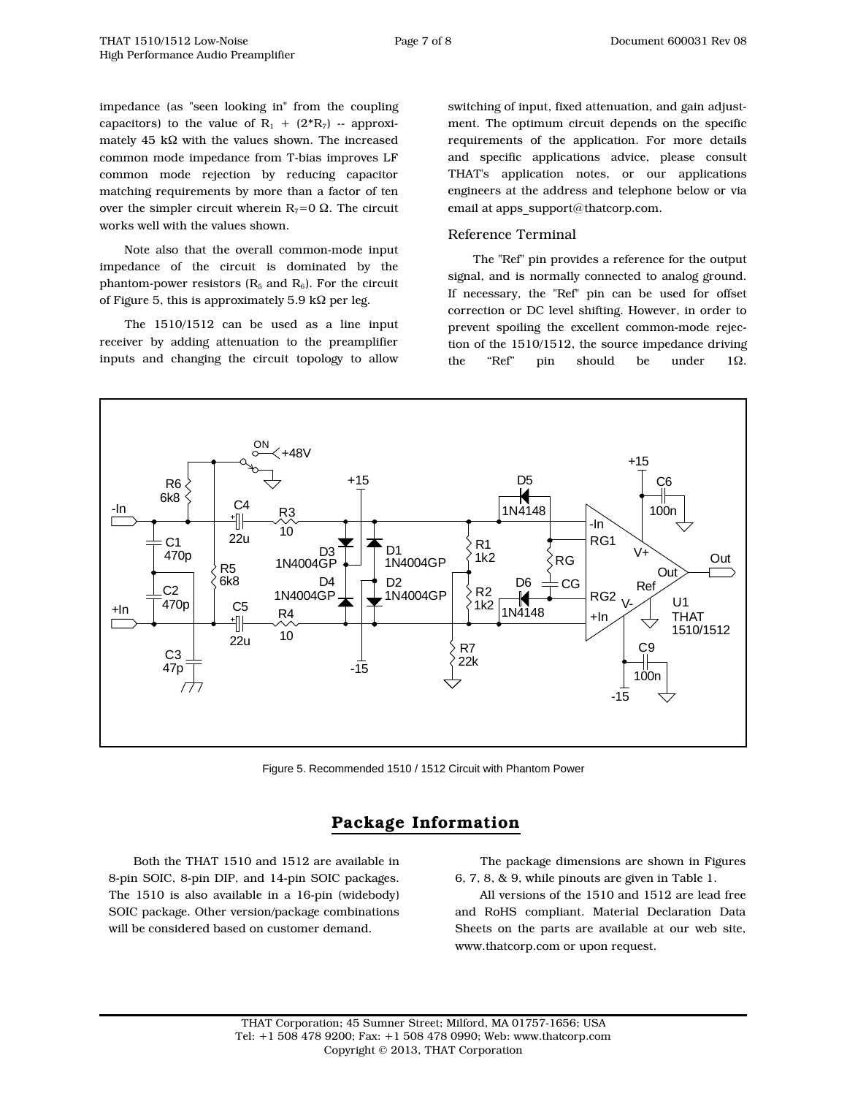impedance (as "seen looking in" from the coupling capacitors) to the value of  $R_1 + (2^*R_7)$  -- approximately 45 kΩ with the values shown. The increased common mode impedance from T-bias improves LF common mode rejection by reducing capacitor matching requirements by more than a factor of ten over the simpler circuit wherein  $R_7=0$   $\Omega$ . The circuit works well with the values shown.

Note also that the overall common-mode input impedance of the circuit is dominated by the phantom-power resistors  $(R_5 \text{ and } R_6)$ . For the circuit of Figure 5, this is approximately 5.9 k $\Omega$  per leg.

The 1510/1512 can be used as a line input receiver by adding attenuation to the preamplifier inputs and changing the circuit topology to allow

switching of input, fixed attenuation, and gain adjustment. The optimum circuit depends on the specific requirements of the application. For more details and specific applications advice, please consult THAT's application notes, or our applications engineers at the address and telephone below or via email at apps\_support@thatcorp.com.

#### Reference Terminal

The "Ref" pin provides a reference for the output signal, and is normally connected to analog ground. If necessary, the "Ref" pin can be used for offset correction or DC level shifting. However, in order to prevent spoiling the excellent common-mode rejection of the 1510/1512, the source impedance driving the "Ref" pin should be under  $1\Omega$ .



Figure 5. Recommended 1510 / 1512 Circuit with Phantom Power

## **Package Information**

Both the THAT 1510 and 1512 are available in 8-pin SOIC, 8-pin DIP, and 14-pin SOIC packages. The 1510 is also available in a 16-pin (widebody) SOIC package. Other version/package combinations will be considered based on customer demand.

The package dimensions are shown in Figures 6, 7, 8, & 9, while pinouts are given in Table 1.

All versions of the 1510 and 1512 are lead free and RoHS compliant. Material Declaration Data Sheets on the parts are available at our web site, www.thatcorp.com or upon request.